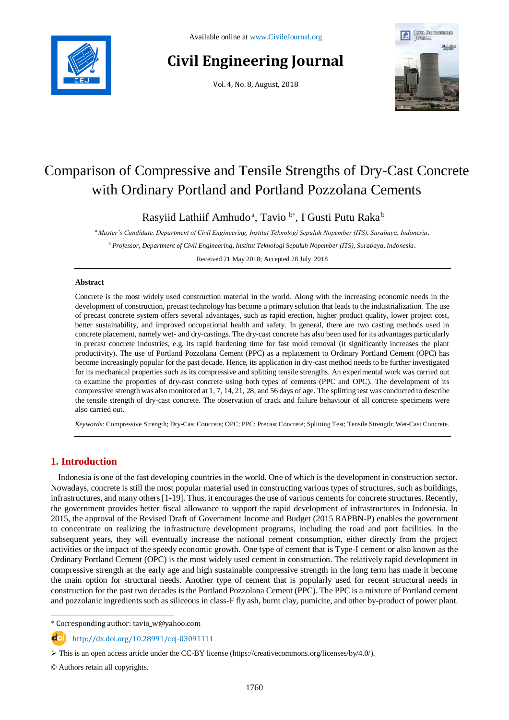

# **Civil Engineering Journal**

Vol. 4, No. 8, August, 2018



# Comparison of Compressive and Tensile Strengths of Dry-Cast Concrete with Ordinary Portland and Portland Pozzolana Cements

Rasyiid Lathiif Amhudo<sup>a</sup>, Tavio<sup>b\*</sup>, I Gusti Putu Raka<sup>b</sup>

*<sup>a</sup> Master's Candidate, Department of Civil Engineering, Institut Teknologi Sepuluh Nopember (ITS), Surabaya, Indonesia.*

*<sup>b</sup> Professor, Department of Civil Engineering, Institut Teknologi Sepuluh Nopember (ITS), Surabaya, Indonesia.*

Received 21 May 2018; Accepted 28 July 2018

# **Abstract**

Concrete is the most widely used construction material in the world. Along with the increasing economic needs in the development of construction, precast technology has become a primary solution that leads to the industrialization. The use of precast concrete system offers several advantages, such as rapid erection, higher product quality, lower project cost, better sustainability, and improved occupational health and safety. In general, there are two casting methods used in concrete placement, namely wet- and dry-castings. The dry-cast concrete has also been used for its advantages particularly in precast concrete industries, e.g. its rapid hardening time for fast mold removal (it significantly increases the plant productivity). The use of Portland Pozzolana Cement (PPC) as a replacement to Ordinary Portland Cement (OPC) has become increasingly popular for the past decade. Hence, its application in dry-cast method needs to be further investigated for its mechanical properties such as its compressive and splitting tensile strengths. An experimental work was carried out to examine the properties of dry-cast concrete using both types of cements (PPC and OPC). The development of its compressive strength was also monitored at 1, 7, 14, 21, 28, and 56 days of age. The splitting test was conducted to describe the tensile strength of dry-cast concrete. The observation of crack and failure behaviour of all concrete specimens were also carried out.

*Keywords:* Compressive Strength; Dry-Cast Concrete; OPC; PPC; Precast Concrete; Splitting Test; Tensile Strength; Wet-Cast Concrete.

# **1. Introduction**

Indonesia is one of the fast developing countries in the world. One of which is the development in construction sector. Nowadays, concrete is still the most popular material used in constructing various types of structures, such as buildings, infrastructures, and many others [1-19]. Thus, it encourages the use of various cements for concrete structures. Recently, the government provides better fiscal allowance to support the rapid development of infrastructures in Indonesia. In 2015, the approval of the Revised Draft of Government Income and Budget (2015 RAPBN-P) enables the government to concentrate on realizing the infrastructure development programs, including the road and port facilities. In the subsequent years, they will eventually increase the national cement consumption, either directly from the project activities or the impact of the speedy economic growth. One type of cement that is Type-I cement or also known as the Ordinary Portland Cement (OPC) is the most widely used cement in construction. The relatively rapid development in compressive strength at the early age and high sustainable compressive strength in the long term has made it become the main option for structural needs. Another type of cement that is popularly used for recent structural needs in construction for the past two decades is the Portland Pozzolana Cement (PPC). The PPC is a mixture of Portland cement and pozzolanic ingredients such as siliceous in class-F fly ash, burnt clay, pumicite, and other by-product of power plant.

\* Corresponding author: tavio\_w@yahoo.com

http://dx.doi.org/10.28991/cej-03091111

© Authors retain all copyrights.

l

 $\triangleright$  This is an open access article under the CC-BY license [\(https://creativecommons.org/licenses/by/4.0/\)](https://creativecommons.org/licenses/by/4.0/).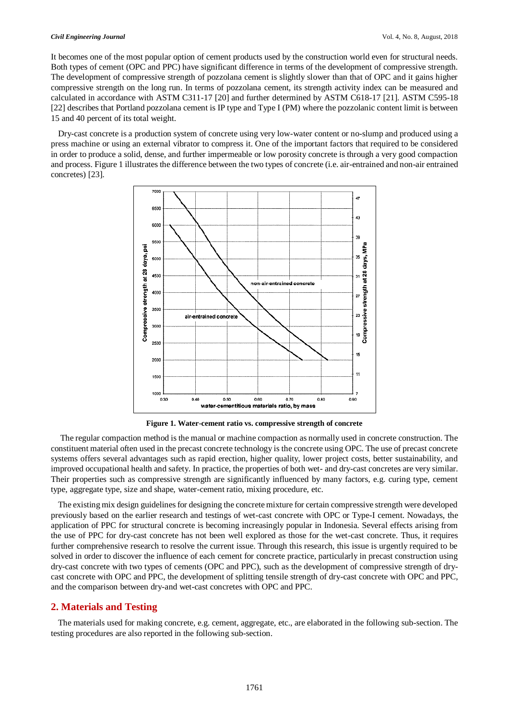#### *Civil Engineering Journal* Vol. 4, No. 8, August, 2018

It becomes one of the most popular option of cement products used by the construction world even for structural needs. Both types of cement (OPC and PPC) have significant difference in terms of the development of compressive strength. The development of compressive strength of pozzolana cement is slightly slower than that of OPC and it gains higher compressive strength on the long run. In terms of pozzolana cement, its strength activity index can be measured and calculated in accordance with ASTM C311-17 [20] and further determined by ASTM C618-17 [21]. ASTM C595-18 [22] describes that Portland pozzolana cement is IP type and Type I (PM) where the pozzolanic content limit is between 15 and 40 percent of its total weight.

Dry-cast concrete is a production system of concrete using very low-water content or no-slump and produced using a press machine or using an external vibrator to compress it. One of the important factors that required to be considered in order to produce a solid, dense, and further impermeable or low porosity concrete is through a very good compaction and process. Figure 1 illustrates the difference between the two types of concrete (i.e. air-entrained and non-air entrained concretes) [23].



**Figure 1. Water-cement ratio vs. compressive strength of concrete**

The regular compaction method is the manual or machine compaction as normally used in concrete construction. The constituent material often used in the precast concrete technology is the concrete using OPC. The use of precast concrete systems offers several advantages such as rapid erection, higher quality, lower project costs, better sustainability, and improved occupational health and safety. In practice, the properties of both wet- and dry-cast concretes are very similar. Their properties such as compressive strength are significantly influenced by many factors, e.g. curing type, cement type, aggregate type, size and shape, water-cement ratio, mixing procedure, etc.

The existing mix design guidelines for designing the concrete mixture for certain compressive strength were developed previously based on the earlier research and testings of wet-cast concrete with OPC or Type-I cement. Nowadays, the application of PPC for structural concrete is becoming increasingly popular in Indonesia. Several effects arising from the use of PPC for dry-cast concrete has not been well explored as those for the wet-cast concrete. Thus, it requires further comprehensive research to resolve the current issue. Through this research, this issue is urgently required to be solved in order to discover the influence of each cement for concrete practice, particularly in precast construction using dry-cast concrete with two types of cements (OPC and PPC), such as the development of compressive strength of drycast concrete with OPC and PPC, the development of splitting tensile strength of dry-cast concrete with OPC and PPC, and the comparison between dry-and wet-cast concretes with OPC and PPC.

# **2. Materials and Testing**

The materials used for making concrete, e.g. cement, aggregate, etc., are elaborated in the following sub-section. The testing procedures are also reported in the following sub-section.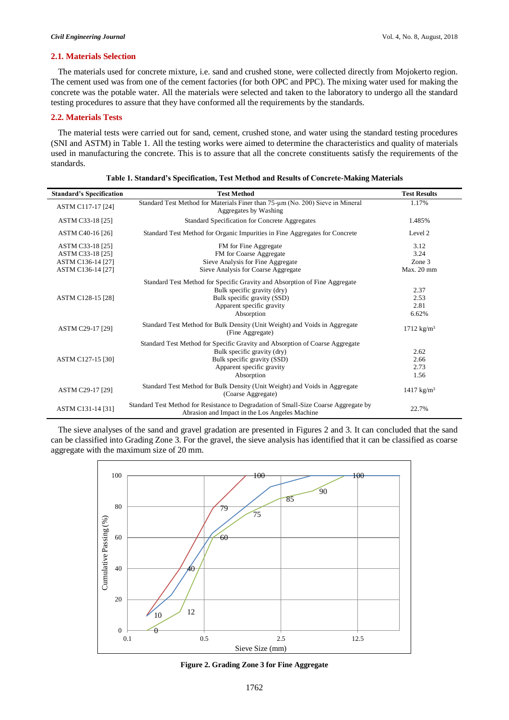### **2.1. Materials Selection**

The materials used for concrete mixture, i.e. sand and crushed stone, were collected directly from Mojokerto region. The cement used was from one of the cement factories (for both OPC and PPC). The mixing water used for making the concrete was the potable water. All the materials were selected and taken to the laboratory to undergo all the standard testing procedures to assure that they have conformed all the requirements by the standards.

# **2.2. Materials Tests**

The material tests were carried out for sand, cement, crushed stone, and water using the standard testing procedures (SNI and ASTM) in Table 1. All the testing works were aimed to determine the characteristics and quality of materials used in manufacturing the concrete. This is to assure that all the concrete constituents satisfy the requirements of the standards.

| <b>Standard's Specification</b>                                                | <b>Test Method</b>                                                                                                                                                                    | <b>Test Results</b>                  |
|--------------------------------------------------------------------------------|---------------------------------------------------------------------------------------------------------------------------------------------------------------------------------------|--------------------------------------|
| ASTM C117-17 [24]                                                              | Standard Test Method for Materials Finer than $75-\mu m$ (No. 200) Sieve in Mineral<br>Aggregates by Washing                                                                          | 1.17%                                |
| ASTM C33-18 [25]                                                               | Standard Specification for Concrete Aggregates                                                                                                                                        | 1.485%                               |
| ASTM C40-16 [26]                                                               | Standard Test Method for Organic Impurities in Fine Aggregates for Concrete                                                                                                           | Level 2                              |
| ASTM C33-18 [25]<br>ASTM C33-18 [25]<br>ASTM C136-14 [27]<br>ASTM C136-14 [27] | FM for Fine Aggregate<br>FM for Coarse Aggregate<br>Sieve Analysis for Fine Aggregate<br>Sieve Analysis for Coarse Aggregate                                                          | 3.12<br>3.24<br>Zone 3<br>Max. 20 mm |
| ASTM C128-15 [28]                                                              | Standard Test Method for Specific Gravity and Absorption of Fine Aggregate<br>Bulk specific gravity (dry)<br>Bulk specific gravity (SSD)<br>Apparent specific gravity<br>Absorption   | 2.37<br>2.53<br>2.81<br>6.62%        |
| ASTM C29-17 [29]                                                               | Standard Test Method for Bulk Density (Unit Weight) and Voids in Aggregate<br>(Fine Aggregate)                                                                                        | $1712 \text{ kg/m}^3$                |
| ASTM C127-15 [30]                                                              | Standard Test Method for Specific Gravity and Absorption of Coarse Aggregate<br>Bulk specific gravity (dry)<br>Bulk specific gravity (SSD)<br>Apparent specific gravity<br>Absorption | 2.62<br>2.66<br>2.73<br>1.56         |
| ASTM C29-17 [29]                                                               | Standard Test Method for Bulk Density (Unit Weight) and Voids in Aggregate<br>(Coarse Aggregate)                                                                                      | $1417 \text{ kg/m}^3$                |
| ASTM C131-14 [31]                                                              | Standard Test Method for Resistance to Degradation of Small-Size Coarse Aggregate by<br>Abrasion and Impact in the Los Angeles Machine                                                | 22.7%                                |

The sieve analyses of the sand and gravel gradation are presented in Figures 2 and 3. It can concluded that the sand can be classified into Grading Zone 3. For the gravel, the sieve analysis has identified that it can be classified as coarse aggregate with the maximum size of 20 mm.



**Figure 2. Grading Zone 3 for Fine Aggregate**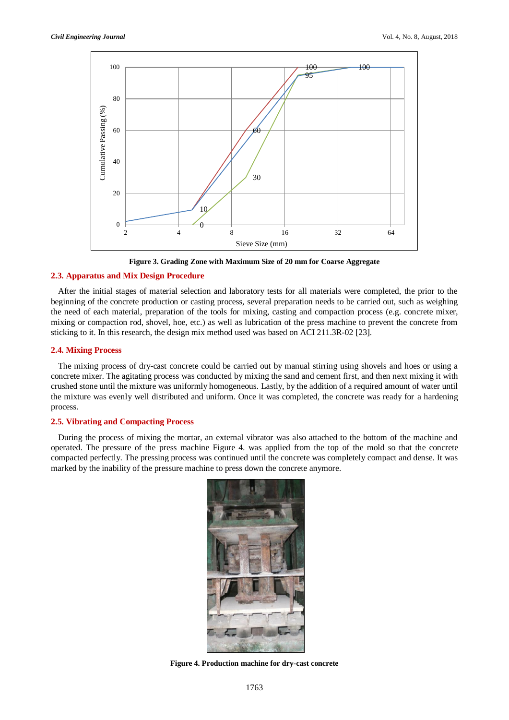

**Figure 3. Grading Zone with Maximum Size of 20 mm for Coarse Aggregate**

# **2.3. Apparatus and Mix Design Procedure**

After the initial stages of material selection and laboratory tests for all materials were completed, the prior to the beginning of the concrete production or casting process, several preparation needs to be carried out, such as weighing the need of each material, preparation of the tools for mixing, casting and compaction process (e.g. concrete mixer, mixing or compaction rod, shovel, hoe, etc.) as well as lubrication of the press machine to prevent the concrete from sticking to it. In this research, the design mix method used was based on ACI 211.3R-02 [23].

# **2.4. Mixing Process**

The mixing process of dry-cast concrete could be carried out by manual stirring using shovels and hoes or using a concrete mixer. The agitating process was conducted by mixing the sand and cement first, and then next mixing it with crushed stone until the mixture was uniformly homogeneous. Lastly, by the addition of a required amount of water until the mixture was evenly well distributed and uniform. Once it was completed, the concrete was ready for a hardening process.

# **2.5. Vibrating and Compacting Process**

During the process of mixing the mortar, an external vibrator was also attached to the bottom of the machine and operated. The pressure of the press machine Figure 4. was applied from the top of the mold so that the concrete compacted perfectly. The pressing process was continued until the concrete was completely compact and dense. It was marked by the inability of the pressure machine to press down the concrete anymore.



**Figure 4. Production machine for dry-cast concrete**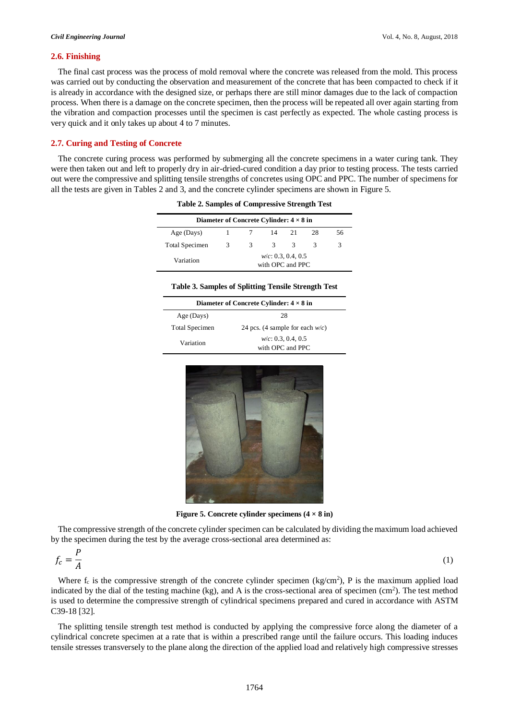## **2.6. Finishing**

The final cast process was the process of mold removal where the concrete was released from the mold. This process was carried out by conducting the observation and measurement of the concrete that has been compacted to check if it is already in accordance with the designed size, or perhaps there are still minor damages due to the lack of compaction process. When there is a damage on the concrete specimen, then the process will be repeated all over again starting from the vibration and compaction processes until the specimen is cast perfectly as expected. The whole casting process is very quick and it only takes up about 4 to 7 minutes.

# **2.7. Curing and Testing of Concrete**

The concrete curing process was performed by submerging all the concrete specimens in a water curing tank. They were then taken out and left to properly dry in air-dried-cured condition a day prior to testing process. The tests carried out were the compressive and splitting tensile strengths of concretes using OPC and PPC. The number of specimens for all the tests are given in Tables 2 and 3, and the concrete cylinder specimens are shown in Figure 5.

| Diameter of Concrete Cylinder: $4 \times 8$ in |                                           |   |    |    |    |    |  |
|------------------------------------------------|-------------------------------------------|---|----|----|----|----|--|
| Age (Days)                                     |                                           |   | 14 | 21 | 28 | 56 |  |
| <b>Total Specimen</b>                          | 3                                         | 3 | 3  | 3  | 3  |    |  |
| Variation                                      | $w/c$ : 0.3, 0.4, 0.5<br>with OPC and PPC |   |    |    |    |    |  |

**Table 2. Samples of Compressive Strength Test**

| Diameter of Concrete Cylinder: $4 \times 8$ in |                                    |  |  |  |  |  |
|------------------------------------------------|------------------------------------|--|--|--|--|--|
| Age (Days)                                     | 28                                 |  |  |  |  |  |
| Total Specimen                                 | 24 pcs. (4 sample for each $w/c$ ) |  |  |  |  |  |
| Variation                                      | $w/c$ : 0.3, 0.4, 0.5              |  |  |  |  |  |
|                                                | with OPC and PPC                   |  |  |  |  |  |



**Figure 5. Concrete cylinder specimens**  $(4 \times 8 \text{ in})$ 

The compressive strength of the concrete cylinder specimen can be calculated by dividing the maximum load achieved by the specimen during the test by the average cross-sectional area determined as:

$$
f_c = \frac{P}{A} \tag{1}
$$

Where  $f_c$  is the compressive strength of the concrete cylinder specimen (kg/cm<sup>2</sup>), P is the maximum applied load indicated by the dial of the testing machine (kg), and A is the cross-sectional area of specimen (cm<sup>2</sup>). The test method is used to determine the compressive strength of cylindrical specimens prepared and cured in accordance with ASTM C39-18 [32].

The splitting tensile strength test method is conducted by applying the compressive force along the diameter of a cylindrical concrete specimen at a rate that is within a prescribed range until the failure occurs. This loading induces tensile stresses transversely to the plane along the direction of the applied load and relatively high compressive stresses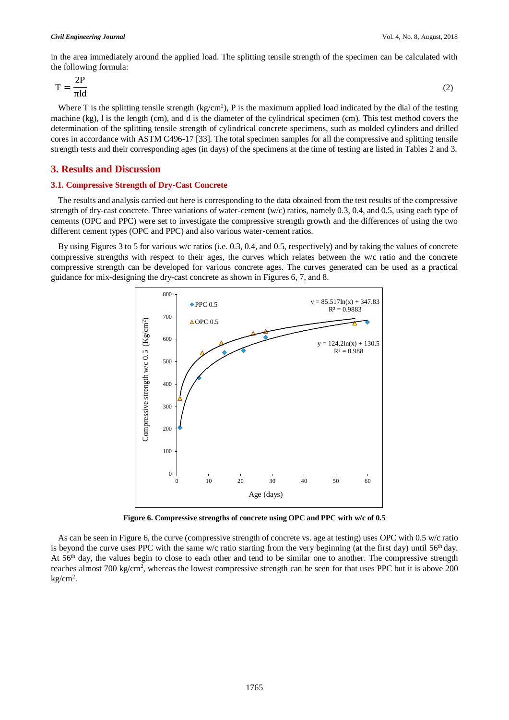#### *Civil Engineering Journal* Vol. 4, No. 8, August, 2018

in the area immediately around the applied load. The splitting tensile strength of the specimen can be calculated with the following formula:

$$
T = \frac{2P}{\pi \text{ld}}
$$
 (2)

Where T is the splitting tensile strength  $(kg/cm^2)$ , P is the maximum applied load indicated by the dial of the testing machine (kg), l is the length (cm), and d is the diameter of the cylindrical specimen (cm). This test method covers the determination of the splitting tensile strength of cylindrical concrete specimens, such as molded cylinders and drilled cores in accordance with ASTM C496-17 [33]. The total specimen samples for all the compressive and splitting tensile strength tests and their corresponding ages (in days) of the specimens at the time of testing are listed in Tables 2 and 3.

# **3. Results and Discussion**

# **3.1. Compressive Strength of Dry-Cast Concrete**

The results and analysis carried out here is corresponding to the data obtained from the test results of the compressive strength of dry-cast concrete. Three variations of water-cement (w/c) ratios, namely 0.3, 0.4, and 0.5, using each type of cements (OPC and PPC) were set to investigate the compressive strength growth and the differences of using the two different cement types (OPC and PPC) and also various water-cement ratios.

By using Figures 3 to 5 for various w/c ratios (i.e. 0.3, 0.4, and 0.5, respectively) and by taking the values of concrete compressive strengths with respect to their ages, the curves which relates between the w/c ratio and the concrete compressive strength can be developed for various concrete ages. The curves generated can be used as a practical guidance for mix-designing the dry-cast concrete as shown in Figures 6, 7, and 8.



**Figure 6. Compressive strengths of concrete using OPC and PPC with w/c of 0.5**

As can be seen in Figure 6, the curve (compressive strength of concrete vs. age at testing) uses OPC with 0.5 w/c ratio is beyond the curve uses PPC with the same w/c ratio starting from the very beginning (at the first day) until  $56<sup>th</sup>$  day. At 56<sup>th</sup> day, the values begin to close to each other and tend to be similar one to another. The compressive strength reaches almost 700 kg/cm<sup>2</sup>, whereas the lowest compressive strength can be seen for that uses PPC but it is above 200 kg/cm<sup>2</sup> .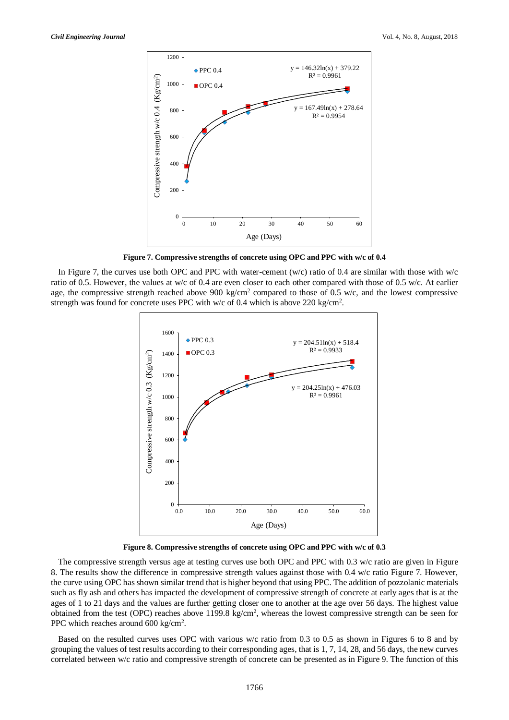

**Figure 7. Compressive strengths of concrete using OPC and PPC with w/c of 0.4**

In Figure 7, the curves use both OPC and PPC with water-cement (w/c) ratio of 0.4 are similar with those with w/c ratio of 0.5. However, the values at w/c of 0.4 are even closer to each other compared with those of 0.5 w/c. At earlier age, the compressive strength reached above 900 kg/cm<sup>2</sup> compared to those of 0.5 w/c, and the lowest compressive strength was found for concrete uses PPC with w/c of 0.4 which is above 220 kg/cm<sup>2</sup>.



**Figure 8. Compressive strengths of concrete using OPC and PPC with w/c of 0.3**

The compressive strength versus age at testing curves use both OPC and PPC with 0.3 w/c ratio are given in Figure 8. The results show the difference in compressive strength values against those with 0.4 w/c ratio Figure 7. However, the curve using OPC has shown similar trend that is higher beyond that using PPC. The addition of pozzolanic materials such as fly ash and others has impacted the development of compressive strength of concrete at early ages that is at the ages of 1 to 21 days and the values are further getting closer one to another at the age over 56 days. The highest value obtained from the test (OPC) reaches above  $1199.8 \text{ kg/cm}^2$ , whereas the lowest compressive strength can be seen for PPC which reaches around  $600 \text{ kg/cm}^2$ .

Based on the resulted curves uses OPC with various w/c ratio from 0.3 to 0.5 as shown in Figures 6 to 8 and by grouping the values of test results according to their corresponding ages, that is 1, 7, 14, 28, and 56 days, the new curves correlated between w/c ratio and compressive strength of concrete can be presented as in Figure 9. The function of this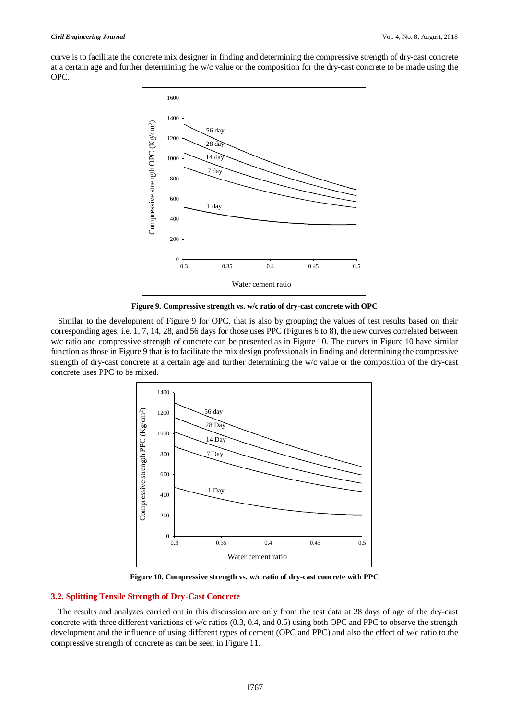curve is to facilitate the concrete mix designer in finding and determining the compressive strength of dry-cast concrete at a certain age and further determining the w/c value or the composition for the dry-cast concrete to be made using the OPC.



**Figure 9. Compressive strength vs. w/c ratio of dry-cast concrete with OPC**

Similar to the development of Figure 9 for OPC, that is also by grouping the values of test results based on their corresponding ages, i.e. 1, 7, 14, 28, and 56 days for those uses PPC (Figures 6 to 8), the new curves correlated between w/c ratio and compressive strength of concrete can be presented as in Figure 10. The curves in Figure 10 have similar function as those in Figure 9 that is to facilitate the mix design professionals in finding and determining the compressive strength of dry-cast concrete at a certain age and further determining the w/c value or the composition of the dry-cast concrete uses PPC to be mixed.



**Figure 10. Compressive strength vs. w/c ratio of dry-cast concrete with PPC**

# **3.2. Splitting Tensile Strength of Dry-Cast Concrete**

The results and analyzes carried out in this discussion are only from the test data at 28 days of age of the dry-cast concrete with three different variations of w/c ratios (0.3, 0.4, and 0.5) using both OPC and PPC to observe the strength development and the influence of using different types of cement (OPC and PPC) and also the effect of w/c ratio to the compressive strength of concrete as can be seen in Figure 11.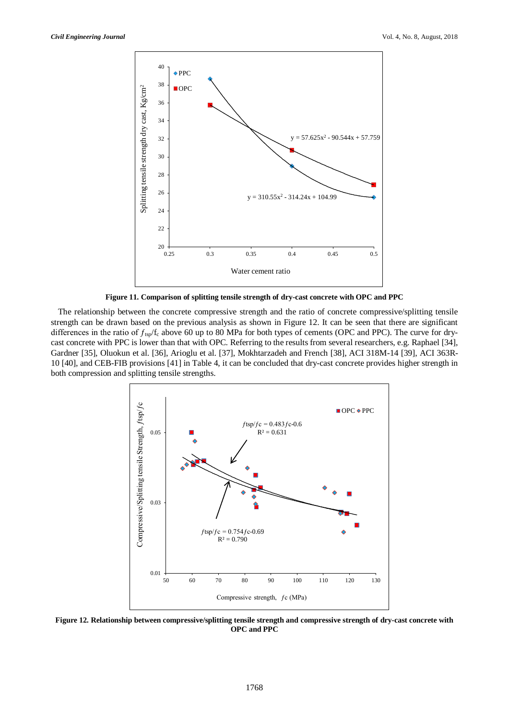

**Figure 11. Comparison of splitting tensile strength of dry-cast concrete with OPC and PPC**

The relationship between the concrete compressive strength and the ratio of concrete compressive/splitting tensile strength can be drawn based on the previous analysis as shown in Figure 12. It can be seen that there are significant differences in the ratio of  $f_{tsp}/f_c$  above 60 up to 80 MPa for both types of cements (OPC and PPC). The curve for drycast concrete with PPC is lower than that with OPC. Referring to the results from several researchers, e.g. Raphael [34], Gardner [35], Oluokun et al. [36], Arioglu et al. [37], Mokhtarzadeh and French [38], ACI 318M-14 [39], ACI 363R-10 [40], and CEB-FIB provisions [41] in Table 4, it can be concluded that dry-cast concrete provides higher strength in both compression and splitting tensile strengths.



**Figure 12. Relationship between compressive/splitting tensile strength and compressive strength of dry-cast concrete with OPC and PPC**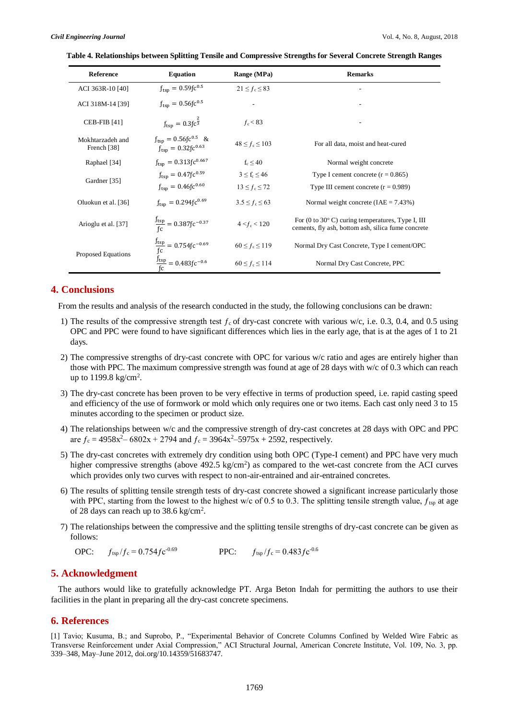|  |  |  | Table 4. Relationships between Splitting Tensile and Compressive Strengths for Several Concrete Strength Ranges |  |  |
|--|--|--|-----------------------------------------------------------------------------------------------------------------|--|--|
|  |  |  |                                                                                                                 |  |  |

| Reference                                  | <b>Equation</b>                                                                                                                     | Range (MPa)          | <b>Remarks</b>                                                                                                                    |
|--------------------------------------------|-------------------------------------------------------------------------------------------------------------------------------------|----------------------|-----------------------------------------------------------------------------------------------------------------------------------|
| ACI 363R-10 [40]                           | $f_{\text{tsp}} = 0.59$ fc <sup>0.5</sup>                                                                                           | $21 \le f_c \le 83$  |                                                                                                                                   |
| ACI 318M-14 [39]                           | $f_{\rm{tsp}} = 0.56$ fc <sup>0.5</sup>                                                                                             |                      |                                                                                                                                   |
| CEB-FIB $[41]$                             | $f_{\text{tsp}} = 0.3 \text{fc}^{\frac{2}{3}}$                                                                                      | $f_c < 83$           |                                                                                                                                   |
| Mokhtarzadeh and<br>French <sup>[38]</sup> | $f_{\text{tsp}} = 0.56 f c^{0.5}$ &<br>$f_{\text{tsp}} = 0.32$ fc <sup>0.63</sup>                                                   | $48 \le f_c \le 103$ | For all data, moist and heat-cured                                                                                                |
| Raphael [34]                               | $f_{\text{tsp}} = 0.313 \text{fc}^{0.667}$                                                                                          | $f_c < 40$           | Normal weight concrete                                                                                                            |
| Gardner [35]                               | $f_{\rm typ} = 0.47$ fc <sup>0.59</sup>                                                                                             | $3 \leq f_c \leq 46$ | Type I cement concrete $(r = 0.865)$                                                                                              |
|                                            | $f_{\text{tsp}} = 0.46$ fc <sup>0.60</sup>                                                                                          | $13 \le f_c \le 72$  | Type III cement concrete $(r = 0.989)$                                                                                            |
| Oluokun et al. [36]                        | $f_{\text{tsp}} = 0.294 f c^{0.69}$                                                                                                 | $3.5 \le f_c \le 63$ | Normal weight concrete $(IAE = 7.43\%)$                                                                                           |
| Arioglu et al. [37]                        | $\frac{J_{\text{tsp}}}{f_c} = 0.387 f c^{-0.37}$                                                                                    | $4 < f_c < 120$      | For $(0 \text{ to } 30^{\circ} \text{ C})$ curing temperatures, Type I, III<br>cements, fly ash, bottom ash, silica fume concrete |
| <b>Proposed Equations</b>                  | $\frac{f_{\text{tsp}}}{f_{\text{C}}}$ = 0.754fc <sup>-0.69</sup><br>$\frac{f_{\text{tsp}}}{f_{\text{C}}}$ = 0.483fc <sup>-0.6</sup> | $60 \le f_c \le 119$ | Normal Dry Cast Concrete, Type I cement/OPC                                                                                       |
|                                            |                                                                                                                                     | $60 \le f_c \le 114$ | Normal Dry Cast Concrete, PPC                                                                                                     |

# **4. Conclusions**

From the results and analysis of the research conducted in the study, the following conclusions can be drawn:

- 1) The results of the compressive strength test  $f_c$  of dry-cast concrete with various w/c, i.e. 0.3, 0.4, and 0.5 using OPC and PPC were found to have significant differences which lies in the early age, that is at the ages of 1 to 21 days.
- 2) The compressive strengths of dry-cast concrete with OPC for various w/c ratio and ages are entirely higher than those with PPC. The maximum compressive strength was found at age of 28 days with w/c of 0.3 which can reach up to  $1199.8 \text{ kg/cm}^2$ .
- 3) The dry-cast concrete has been proven to be very effective in terms of production speed, i.e. rapid casting speed and efficiency of the use of formwork or mold which only requires one or two items. Each cast only need 3 to 15 minutes according to the specimen or product size.
- 4) The relationships between w/c and the compressive strength of dry-cast concretes at 28 days with OPC and PPC are  $f_c = 4958x^2 - 6802x + 2794$  and  $f_c = 3964x^2 - 5975x + 2592$ , respectively.
- 5) The dry-cast concretes with extremely dry condition using both OPC (Type-I cement) and PPC have very much higher compressive strengths (above  $492.5 \text{ kg/cm}^2$ ) as compared to the wet-cast concrete from the ACI curves which provides only two curves with respect to non-air-entrained and air-entrained concretes.
- 6) The results of splitting tensile strength tests of dry-cast concrete showed a significant increase particularly those with PPC, starting from the lowest to the highest w/c of 0.5 to 0.3. The splitting tensile strength value,  $f_{\text{tsp}}$  at age of 28 days can reach up to 38.6 kg/cm<sup>2</sup>.
- 7) The relationships between the compressive and the splitting tensile strengths of dry-cast concrete can be given as follows:

OPC: 
$$
f_{\text{tsp}}/f_c = 0.754 f c^{0.69}
$$
 PPC:  $f_{\text{tsp}}/f_c = 0.483 f c^{0.6}$ 

# **5. Acknowledgment**

The authors would like to gratefully acknowledge PT. Arga Beton Indah for permitting the authors to use their facilities in the plant in preparing all the dry-cast concrete specimens.

# **6. References**

[1] Tavio; Kusuma, B.; and Suprobo, P., "Experimental Behavior of Concrete Columns Confined by Welded Wire Fabric as Transverse Reinforcement under Axial Compression," ACI Structural Journal, American Concrete Institute, Vol. 109, No. 3, pp. 339–348, May–June 2012, doi.org/10.14359/51683747.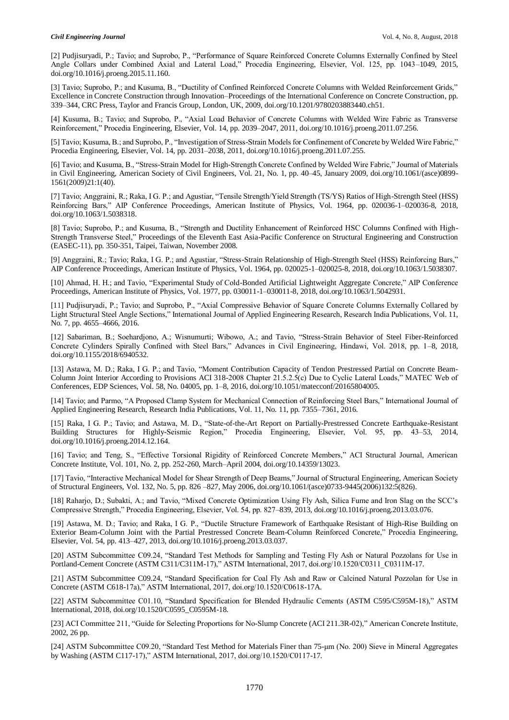[2] Pudjisuryadi, P.; Tavio; and Suprobo, P., "Performance of Square Reinforced Concrete Columns Externally Confined by Steel Angle Collars under Combined Axial and Lateral Load," Procedia Engineering, Elsevier, Vol. 125, pp. 1043–1049, 2015, doi.org/10.1016/j.proeng.2015.11.160.

[3] Tavio; Suprobo, P.; and Kusuma, B., "Ductility of Confined Reinforced Concrete Columns with Welded Reinforcement Grids," Excellence in Concrete Construction through Innovation–Proceedings of the International Conference on Concrete Construction, pp. 339–344, CRC Press, Taylor and Francis Group, London, UK, 2009, doi.org/10.1201/9780203883440.ch51.

[4] Kusuma, B.; Tavio; and Suprobo, P., "Axial Load Behavior of Concrete Columns with Welded Wire Fabric as Transverse Reinforcement," Procedia Engineering, Elsevier, Vol. 14, pp. 2039–2047, 2011, doi.org/10.1016/j.proeng.2011.07.256.

[5] Tavio; Kusuma, B.; and Suprobo, P., "Investigation of Stress-Strain Models for Confinement of Concrete by Welded Wire Fabric," Procedia Engineering, Elsevier, Vol. 14, pp. 2031–2038, 2011, doi.org/10.1016/j.proeng.2011.07.255.

[6] Tavio; and Kusuma, B., "Stress-Strain Model for High-Strength Concrete Confined by Welded Wire Fabric," Journal of Materials in Civil Engineering, American Society of Civil Engineers, Vol. 21, No. 1, pp. 40–45, January 2009, doi.org/10.1061/(asce)0899- 1561(2009)21:1(40).

[7] Tavio; Anggraini, R.; Raka, I G. P.; and Agustiar, "Tensile Strength/Yield Strength (TS/YS) Ratios of High-Strength Steel (HSS) Reinforcing Bars," AIP Conference Proceedings, American Institute of Physics, Vol. 1964, pp. 020036-1–020036-8, 2018, doi.org/10.1063/1.5038318.

[8] Tavio; Suprobo, P.; and Kusuma, B., "Strength and Ductility Enhancement of Reinforced HSC Columns Confined with High-Strength Transverse Steel," Proceedings of the Eleventh East Asia-Pacific Conference on Structural Engineering and Construction (EASEC-11), pp. 350-351, Taipei, Taiwan, November 2008.

[9] Anggraini, R.; Tavio; Raka, I G. P.; and Agustiar, "Stress-Strain Relationship of High-Strength Steel (HSS) Reinforcing Bars," AIP Conference Proceedings, American Institute of Physics, Vol. 1964, pp. 020025-1–020025-8, 2018, doi.org/10.1063/1.5038307.

[10] Ahmad, H. H.; and Tavio, "Experimental Study of Cold-Bonded Artificial Lightweight Aggregate Concrete," AIP Conference Proceedings, American Institute of Physics, Vol. 1977, pp. 030011-1–030011-8, 2018, doi.org/10.1063/1.5042931.

[11] Pudjisuryadi, P.; Tavio; and Suprobo, P., "Axial Compressive Behavior of Square Concrete Columns Externally Collared by Light Structural Steel Angle Sections," International Journal of Applied Engineering Research, Research India Publications, Vol. 11, No. 7, pp. 4655–4666, 2016.

[12] Sabariman, B.; Soehardjono, A.; Wisnumurti; Wibowo, A.; and Tavio, "Stress-Strain Behavior of Steel Fiber-Reinforced Concrete Cylinders Spirally Confined with Steel Bars," Advances in Civil Engineering, Hindawi, Vol. 2018, pp. 1–8, 2018, doi.org/10.1155/2018/6940532.

[13] Astawa, M. D.; Raka, I G. P.; and Tavio, "Moment Contribution Capacity of Tendon Prestressed Partial on Concrete Beam-Column Joint Interior According to Provisions ACI 318-2008 Chapter 21.5.2.5(c) Due to Cyclic Lateral Loads," MATEC Web of Conferences, EDP Sciences, Vol. 58, No. 04005, pp. 1–8, 2016, doi.org/10.1051/matecconf/20165804005.

[14] Tavio; and Parmo, "A Proposed Clamp System for Mechanical Connection of Reinforcing Steel Bars," International Journal of Applied Engineering Research, Research India Publications, Vol. 11, No. 11, pp. 7355–7361, 2016.

[15] Raka, I G. P.; Tavio; and Astawa, M. D., "State-of-the-Art Report on Partially-Prestressed Concrete Earthquake-Resistant Building Structures for Highly-Seismic Region," Procedia Engineering, Elsevier, Vol. 95, pp. 43–53, 2014, doi.org/10.1016/j.proeng.2014.12.164.

[16] Tavio; and Teng, S., "Effective Torsional Rigidity of Reinforced Concrete Members," ACI Structural Journal, American Concrete Institute, Vol. 101, No. 2, pp. 252-260, March–April 2004, doi.org/10.14359/13023.

[17] Tavio, "Interactive Mechanical Model for Shear Strength of Deep Beams," Journal of Structural Engineering, American Society of Structural Engineers, Vol. 132, No. 5, pp. 826 –827, May 2006, doi.org/10.1061/(asce)0733-9445(2006)132:5(826).

[18] Raharjo, D.; Subakti, A.; and Tavio, "Mixed Concrete Optimization Using Fly Ash, Silica Fume and Iron Slag on the SCC's Compressive Strength," Procedia Engineering, Elsevier, Vol. 54, pp. 827–839, 2013, doi.org/10.1016/j.proeng.2013.03.076.

[19] Astawa, M. D.; Tavio; and Raka, I G. P., "Ductile Structure Framework of Earthquake Resistant of High-Rise Building on Exterior Beam-Column Joint with the Partial Prestressed Concrete Beam-Column Reinforced Concrete," Procedia Engineering, Elsevier, Vol. 54, pp. 413–427, 2013, doi.org/10.1016/j.proeng.2013.03.037.

[20] ASTM Subcommittee C09.24, "Standard Test Methods for Sampling and Testing Fly Ash or Natural Pozzolans for Use in Portland-Cement Concrete (ASTM C311/C311M-17)," ASTM International, 2017, doi.org/10.1520/C0311\_C0311M-17.

[21] ASTM Subcommittee C09.24, "Standard Specification for Coal Fly Ash and Raw or Calcined Natural Pozzolan for Use in Concrete (ASTM C618-17a)," ASTM International, 2017, doi.org/10.1520/C0618-17A.

[22] ASTM Subcommittee C01.10, "Standard Specification for Blended Hydraulic Cements (ASTM C595/C595M-18)," ASTM International, 2018, doi.org/10.1520/C0595\_C0595M-18.

[23] ACI Committee 211, "Guide for Selecting Proportions for No-Slump Concrete (ACI 211.3R-02)," American Concrete Institute, 2002, 26 pp.

[24] ASTM Subcommittee C09.20, "Standard Test Method for Materials Finer than 75-μm (No. 200) Sieve in Mineral Aggregates by Washing (ASTM C117-17)," ASTM International, 2017, doi.org/10.1520/C0117-17.